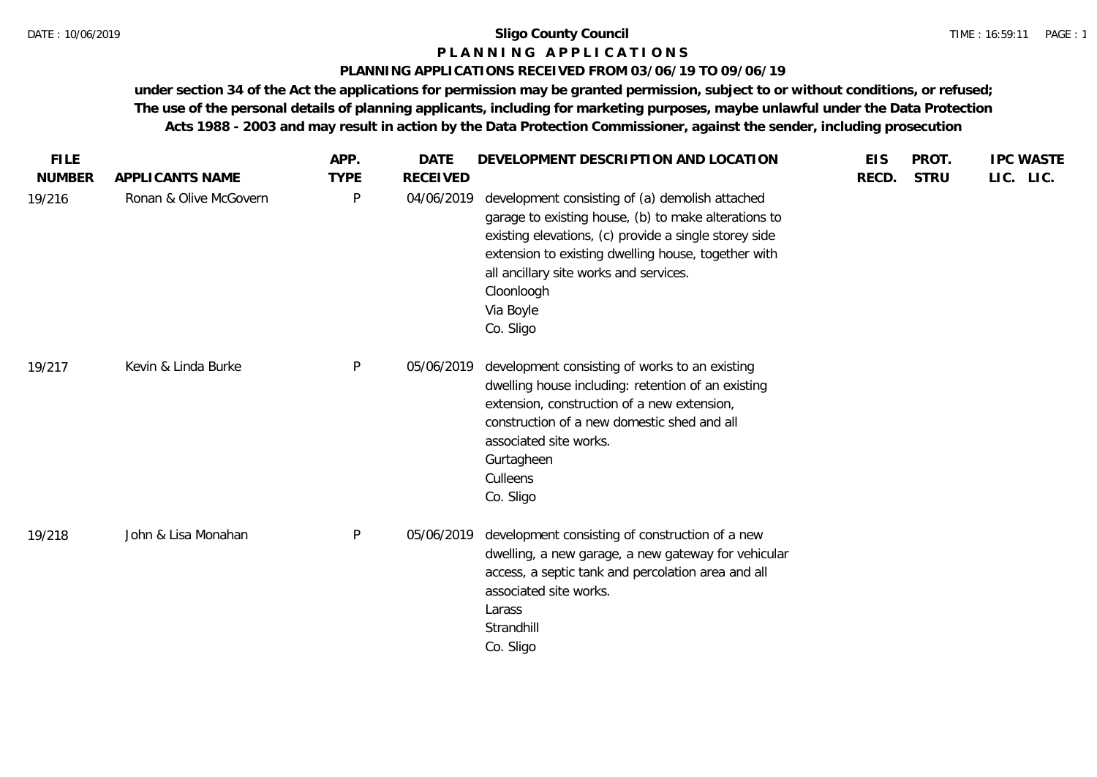## **P L A N N I N G A P P L I C A T I O N S**

## **PLANNING APPLICATIONS RECEIVED FROM 03/06/19 TO 09/06/19**

**under section 34 of the Act the applications for permission may be granted permission, subject to or without conditions, or refused; The use of the personal details of planning applicants, including for marketing purposes, maybe unlawful under the Data Protection Acts 1988 - 2003 and may result in action by the Data Protection Commissioner, against the sender, including prosecution**

| <b>FILE</b><br><b>NUMBER</b> | APPLICANTS NAME        | APP.<br><b>TYPE</b> | <b>DATE</b><br><b>RECEIVED</b> | DEVELOPMENT DESCRIPTION AND LOCATION                                                                                                                                                                                                                                                                      | <b>EIS</b><br>RECD. | PROT.<br><b>STRU</b> | <b>IPC WASTE</b><br>LIC. LIC. |
|------------------------------|------------------------|---------------------|--------------------------------|-----------------------------------------------------------------------------------------------------------------------------------------------------------------------------------------------------------------------------------------------------------------------------------------------------------|---------------------|----------------------|-------------------------------|
| 19/216                       | Ronan & Olive McGovern | P                   | 04/06/2019                     | development consisting of (a) demolish attached<br>garage to existing house, (b) to make alterations to<br>existing elevations, (c) provide a single storey side<br>extension to existing dwelling house, together with<br>all ancillary site works and services.<br>Cloonloogh<br>Via Boyle<br>Co. Sligo |                     |                      |                               |
| 19/217                       | Kevin & Linda Burke    | P                   | 05/06/2019                     | development consisting of works to an existing<br>dwelling house including: retention of an existing<br>extension, construction of a new extension,<br>construction of a new domestic shed and all<br>associated site works.<br>Gurtagheen<br>Culleens<br>Co. Sligo                                       |                     |                      |                               |
| 19/218                       | John & Lisa Monahan    | P                   | 05/06/2019                     | development consisting of construction of a new<br>dwelling, a new garage, a new gateway for vehicular<br>access, a septic tank and percolation area and all<br>associated site works.<br>Larass<br>Strandhill<br>Co. Sligo                                                                               |                     |                      |                               |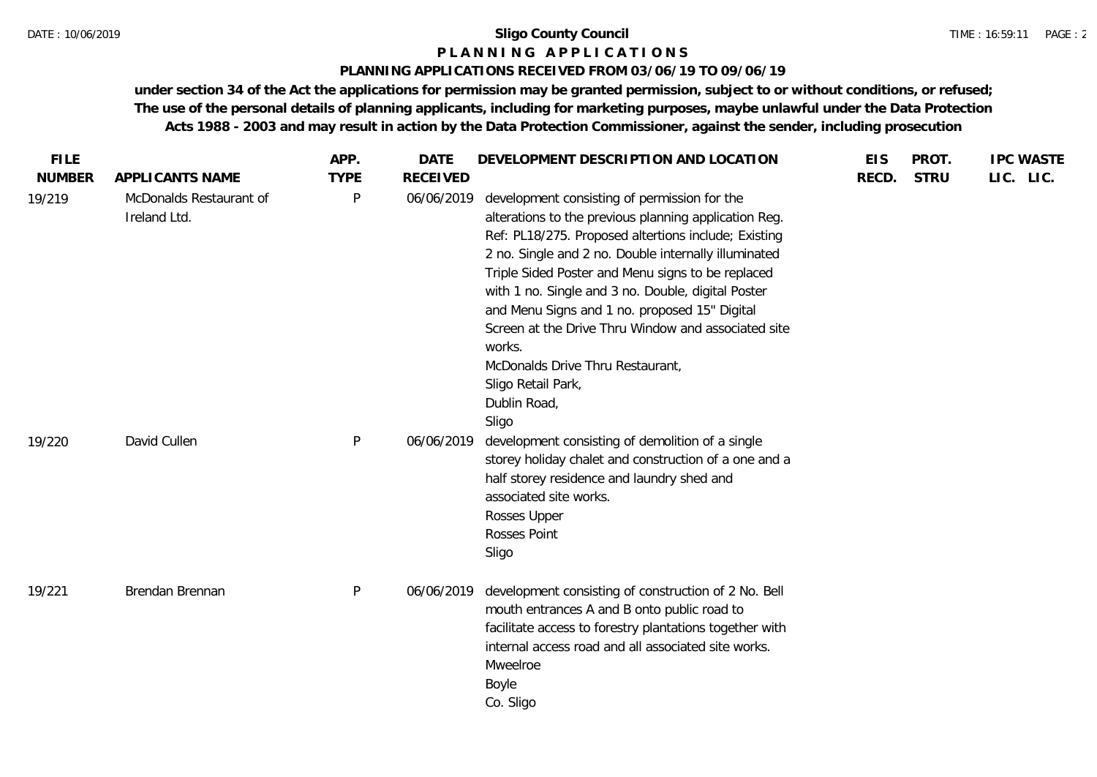## **P L A N N I N G A P P L I C A T I O N S**

## **PLANNING APPLICATIONS RECEIVED FROM 03/06/19 TO 09/06/19**

**under section 34 of the Act the applications for permission may be granted permission, subject to or without conditions, or refused; The use of the personal details of planning applicants, including for marketing purposes, maybe unlawful under the Data Protection Acts 1988 - 2003 and may result in action by the Data Protection Commissioner, against the sender, including prosecution**

| <b>FILE</b><br><b>NUMBER</b> | APPLICANTS NAME                         | APP.<br><b>TYPE</b> | <b>DATE</b><br><b>RECEIVED</b> | DEVELOPMENT DESCRIPTION AND LOCATION                                                                                                                                                                                                                                                                                                                                                                                                                                                                                                  | <b>EIS</b><br>RECD. | PROT.<br><b>STRU</b> | <b>IPC WASTE</b><br>LIC. LIC. |
|------------------------------|-----------------------------------------|---------------------|--------------------------------|---------------------------------------------------------------------------------------------------------------------------------------------------------------------------------------------------------------------------------------------------------------------------------------------------------------------------------------------------------------------------------------------------------------------------------------------------------------------------------------------------------------------------------------|---------------------|----------------------|-------------------------------|
| 19/219                       | McDonalds Restaurant of<br>Ireland Ltd. | $\mathsf{P}$        | 06/06/2019                     | development consisting of permission for the<br>alterations to the previous planning application Reg.<br>Ref: PL18/275. Proposed altertions include; Existing<br>2 no. Single and 2 no. Double internally illuminated<br>Triple Sided Poster and Menu signs to be replaced<br>with 1 no. Single and 3 no. Double, digital Poster<br>and Menu Signs and 1 no. proposed 15" Digital<br>Screen at the Drive Thru Window and associated site<br>works.<br>McDonalds Drive Thru Restaurant,<br>Sligo Retail Park,<br>Dublin Road,<br>Sligo |                     |                      |                               |
| 19/220                       | David Cullen                            | P                   | 06/06/2019                     | development consisting of demolition of a single<br>storey holiday chalet and construction of a one and a<br>half storey residence and laundry shed and<br>associated site works.<br>Rosses Upper<br>Rosses Point<br>Sligo                                                                                                                                                                                                                                                                                                            |                     |                      |                               |
| 19/221                       | Brendan Brennan                         | $\mathsf{P}$        | 06/06/2019                     | development consisting of construction of 2 No. Bell<br>mouth entrances A and B onto public road to<br>facilitate access to forestry plantations together with<br>internal access road and all associated site works.<br>Mweelroe<br>Boyle<br>Co. Sligo                                                                                                                                                                                                                                                                               |                     |                      |                               |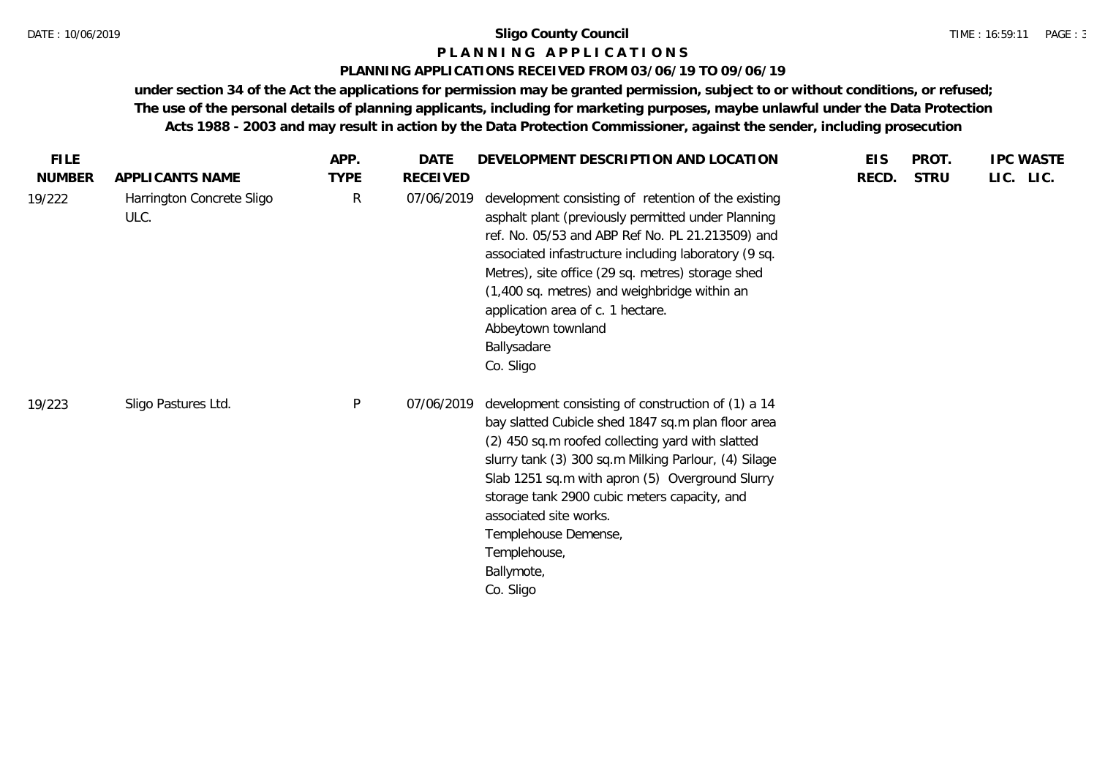## **P L A N N I N G A P P L I C A T I O N S**

## **PLANNING APPLICATIONS RECEIVED FROM 03/06/19 TO 09/06/19**

**under section 34 of the Act the applications for permission may be granted permission, subject to or without conditions, or refused; The use of the personal details of planning applicants, including for marketing purposes, maybe unlawful under the Data Protection Acts 1988 - 2003 and may result in action by the Data Protection Commissioner, against the sender, including prosecution**

| <b>FILE</b>             |                                                      | APP.                        | DATE                   | DEVELOPMENT DESCRIPTION AND LOCATION                                                                                                                                                                                                                                                                                                                                                                                              | <b>EIS</b> | PROT.       | <b>IPC WASTE</b> |
|-------------------------|------------------------------------------------------|-----------------------------|------------------------|-----------------------------------------------------------------------------------------------------------------------------------------------------------------------------------------------------------------------------------------------------------------------------------------------------------------------------------------------------------------------------------------------------------------------------------|------------|-------------|------------------|
| <b>NUMBER</b><br>19/222 | APPLICANTS NAME<br>Harrington Concrete Sligo<br>ULC. | <b>TYPE</b><br>$\mathsf{R}$ | RECEIVED<br>07/06/2019 | development consisting of retention of the existing<br>asphalt plant (previously permitted under Planning<br>ref. No. 05/53 and ABP Ref No. PL 21.213509) and<br>associated infastructure including laboratory (9 sq.<br>Metres), site office (29 sq. metres) storage shed<br>(1,400 sq. metres) and weighbridge within an<br>application area of c. 1 hectare.<br>Abbeytown townland<br>Ballysadare                              | RECD.      | <b>STRU</b> | LIC. LIC.        |
| 19/223                  | Sligo Pastures Ltd.                                  | P                           | 07/06/2019             | Co. Sligo<br>development consisting of construction of (1) a 14<br>bay slatted Cubicle shed 1847 sq.m plan floor area<br>(2) 450 sq.m roofed collecting yard with slatted<br>slurry tank (3) 300 sq.m Milking Parlour, (4) Silage<br>Slab 1251 sq.m with apron (5) Overground Slurry<br>storage tank 2900 cubic meters capacity, and<br>associated site works.<br>Templehouse Demense,<br>Templehouse,<br>Ballymote,<br>Co. Sligo |            |             |                  |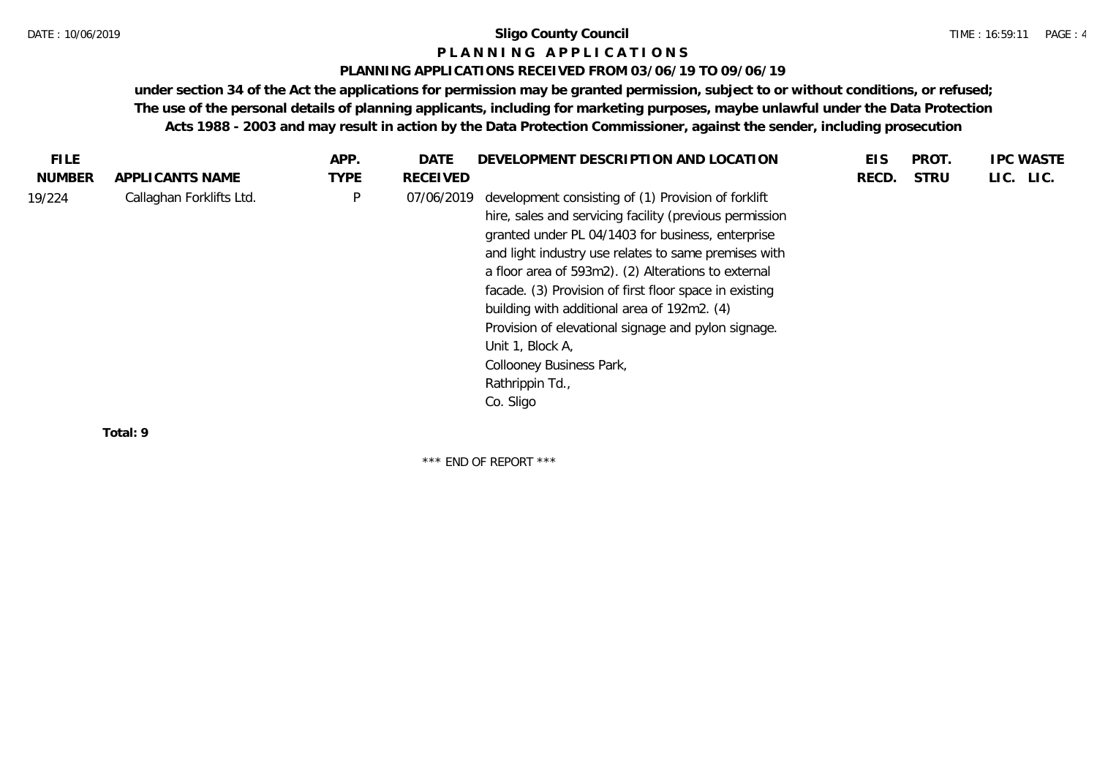## **P L A N N I N G A P P L I C A T I O N S**

## **PLANNING APPLICATIONS RECEIVED FROM 03/06/19 TO 09/06/19**

**under section 34 of the Act the applications for permission may be granted permission, subject to or without conditions, or refused; The use of the personal details of planning applicants, including for marketing purposes, maybe unlawful under the Data Protection Acts 1988 - 2003 and may result in action by the Data Protection Commissioner, against the sender, including prosecution**

| <b>TYPE</b><br><b>NUMBER</b><br><b>STRU</b><br>LIC. LIC.<br>APPLICANTS NAME<br>RECEIVED<br>RECD.<br>Callaghan Forklifts Ltd.<br>P<br>development consisting of (1) Provision of forklift<br>07/06/2019<br>hire, sales and servicing facility (previous permission<br>granted under PL 04/1403 for business, enterprise<br>and light industry use relates to same premises with<br>a floor area of 593m2). (2) Alterations to external<br>facade. (3) Provision of first floor space in existing<br>building with additional area of 192m2. (4)<br>Provision of elevational signage and pylon signage.<br>Unit 1, Block A,<br>Collooney Business Park,<br>Rathrippin Td.,<br>Co. Sligo | <b>FILE</b> | APP. | DATE | DEVELOPMENT DESCRIPTION AND LOCATION | EIS | PROT. | <b>IPC WASTE</b> |
|---------------------------------------------------------------------------------------------------------------------------------------------------------------------------------------------------------------------------------------------------------------------------------------------------------------------------------------------------------------------------------------------------------------------------------------------------------------------------------------------------------------------------------------------------------------------------------------------------------------------------------------------------------------------------------------|-------------|------|------|--------------------------------------|-----|-------|------------------|
|                                                                                                                                                                                                                                                                                                                                                                                                                                                                                                                                                                                                                                                                                       |             |      |      |                                      |     |       |                  |
|                                                                                                                                                                                                                                                                                                                                                                                                                                                                                                                                                                                                                                                                                       | 19/224      |      |      |                                      |     |       |                  |

**Total: 9**

\*\*\* END OF REPORT \*\*\*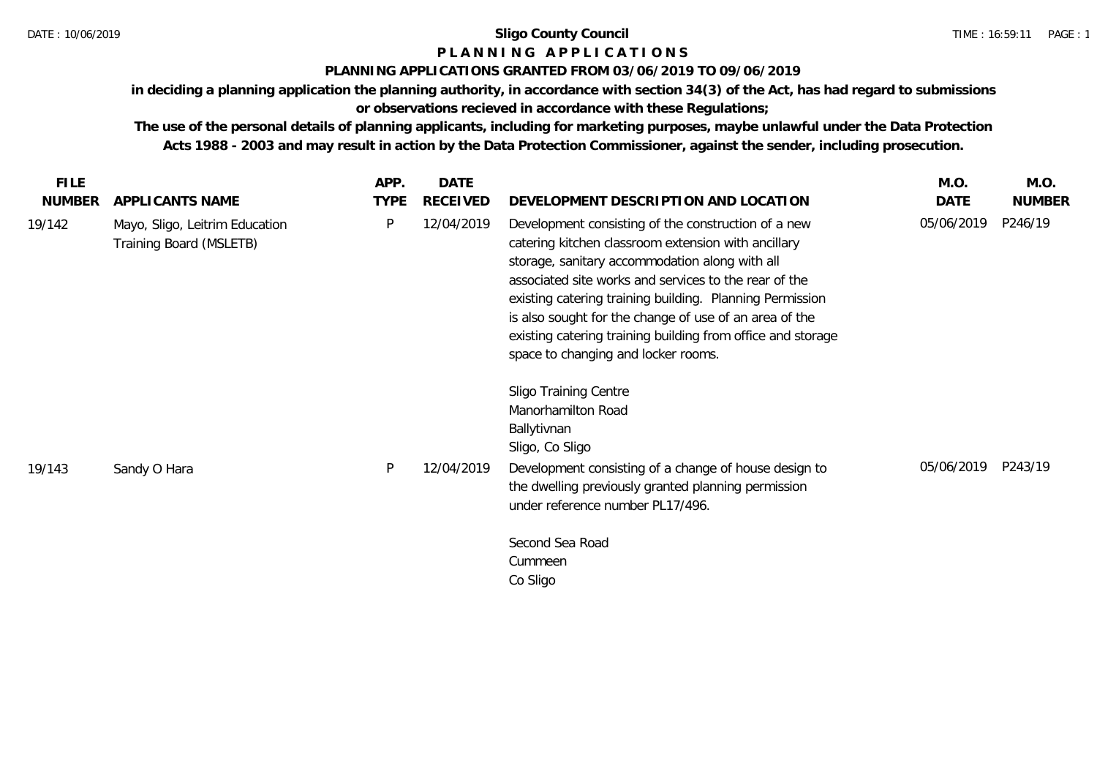# **P L A N N I N G A P P L I C A T I O N S**

## **PLANNING APPLICATIONS GRANTED FROM 03/06/2019 TO 09/06/2019**

**in deciding a planning application the planning authority, in accordance with section 34(3) of the Act, has had regard to submissions or observations recieved in accordance with these Regulations;**

| <b>FILE</b>   |                                                           | APP.        | <b>DATE</b>     |                                                                                                                                                                                                                                                                                                                                                                                                                                                   | M.O.       | M.O.          |
|---------------|-----------------------------------------------------------|-------------|-----------------|---------------------------------------------------------------------------------------------------------------------------------------------------------------------------------------------------------------------------------------------------------------------------------------------------------------------------------------------------------------------------------------------------------------------------------------------------|------------|---------------|
| <b>NUMBER</b> | APPLICANTS NAME                                           | <b>TYPE</b> | <b>RECEIVED</b> | DEVELOPMENT DESCRIPTION AND LOCATION                                                                                                                                                                                                                                                                                                                                                                                                              | DATE       | <b>NUMBER</b> |
| 19/142        | Mayo, Sligo, Leitrim Education<br>Training Board (MSLETB) | P           | 12/04/2019      | Development consisting of the construction of a new<br>catering kitchen classroom extension with ancillary<br>storage, sanitary accommodation along with all<br>associated site works and services to the rear of the<br>existing catering training building. Planning Permission<br>is also sought for the change of use of an area of the<br>existing catering training building from office and storage<br>space to changing and locker rooms. | 05/06/2019 | P246/19       |
|               |                                                           | P           |                 | <b>Sligo Training Centre</b><br>Manorhamilton Road<br>Ballytivnan<br>Sligo, Co Sligo                                                                                                                                                                                                                                                                                                                                                              | 05/06/2019 | P243/19       |
| 19/143        | Sandy O Hara                                              |             | 12/04/2019      | Development consisting of a change of house design to<br>the dwelling previously granted planning permission<br>under reference number PL17/496.                                                                                                                                                                                                                                                                                                  |            |               |
|               |                                                           |             |                 | Second Sea Road<br>Cummeen<br>Co Sligo                                                                                                                                                                                                                                                                                                                                                                                                            |            |               |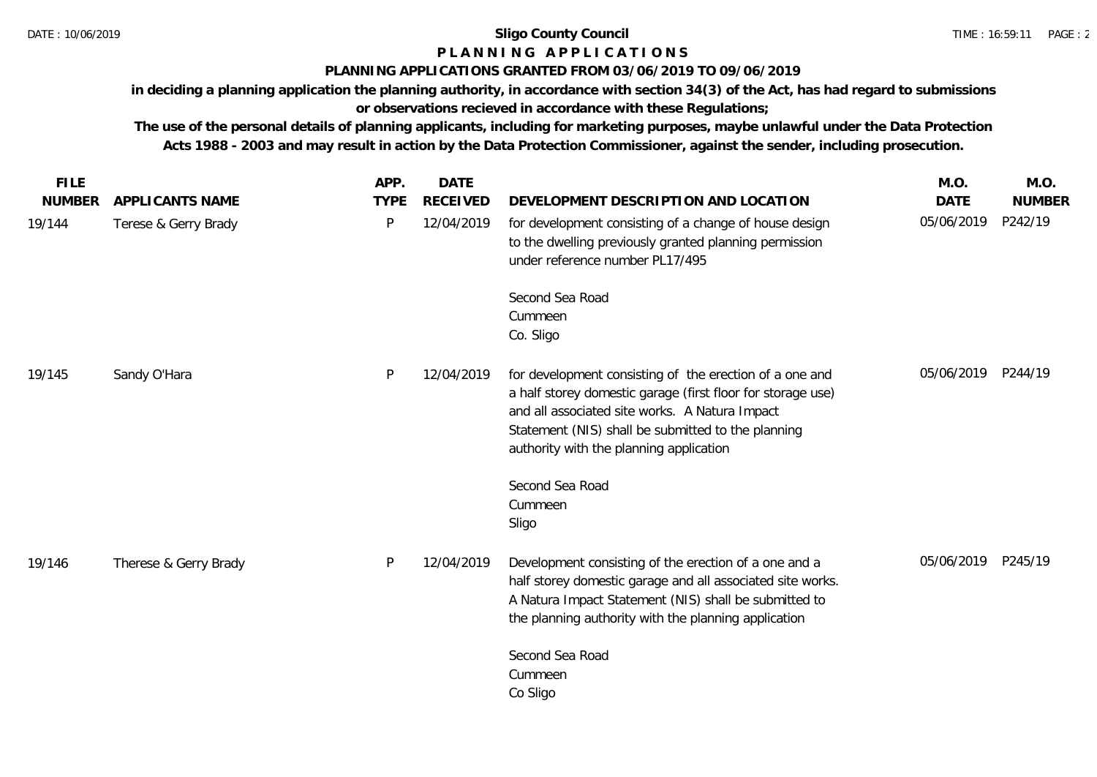# **P L A N N I N G A P P L I C A T I O N S**

# **PLANNING APPLICATIONS GRANTED FROM 03/06/2019 TO 09/06/2019**

**in deciding a planning application the planning authority, in accordance with section 34(3) of the Act, has had regard to submissions or observations recieved in accordance with these Regulations;**

| <b>FILE</b>   |                       | APP.         | <b>DATE</b>     |                                                                                                                                                                                                                                                                           | M.O.               | M.O.          |
|---------------|-----------------------|--------------|-----------------|---------------------------------------------------------------------------------------------------------------------------------------------------------------------------------------------------------------------------------------------------------------------------|--------------------|---------------|
| <b>NUMBER</b> | APPLICANTS NAME       | <b>TYPE</b>  | <b>RECEIVED</b> | DEVELOPMENT DESCRIPTION AND LOCATION                                                                                                                                                                                                                                      | <b>DATE</b>        | <b>NUMBER</b> |
| 19/144        | Terese & Gerry Brady  | $\mathsf{P}$ | 12/04/2019      | for development consisting of a change of house design<br>to the dwelling previously granted planning permission<br>under reference number PL17/495                                                                                                                       | 05/06/2019         | P242/19       |
|               |                       |              |                 | Second Sea Road<br>Cummeen<br>Co. Sligo                                                                                                                                                                                                                                   |                    |               |
| 19/145        | Sandy O'Hara          | P            | 12/04/2019      | for development consisting of the erection of a one and<br>a half storey domestic garage (first floor for storage use)<br>and all associated site works. A Natura Impact<br>Statement (NIS) shall be submitted to the planning<br>authority with the planning application | 05/06/2019 P244/19 |               |
|               |                       |              |                 | Second Sea Road<br>Cummeen<br>Sligo                                                                                                                                                                                                                                       |                    |               |
| 19/146        | Therese & Gerry Brady | P            | 12/04/2019      | Development consisting of the erection of a one and a<br>half storey domestic garage and all associated site works.<br>A Natura Impact Statement (NIS) shall be submitted to<br>the planning authority with the planning application                                      | 05/06/2019 P245/19 |               |
|               |                       |              |                 | Second Sea Road<br>Cummeen<br>Co Sligo                                                                                                                                                                                                                                    |                    |               |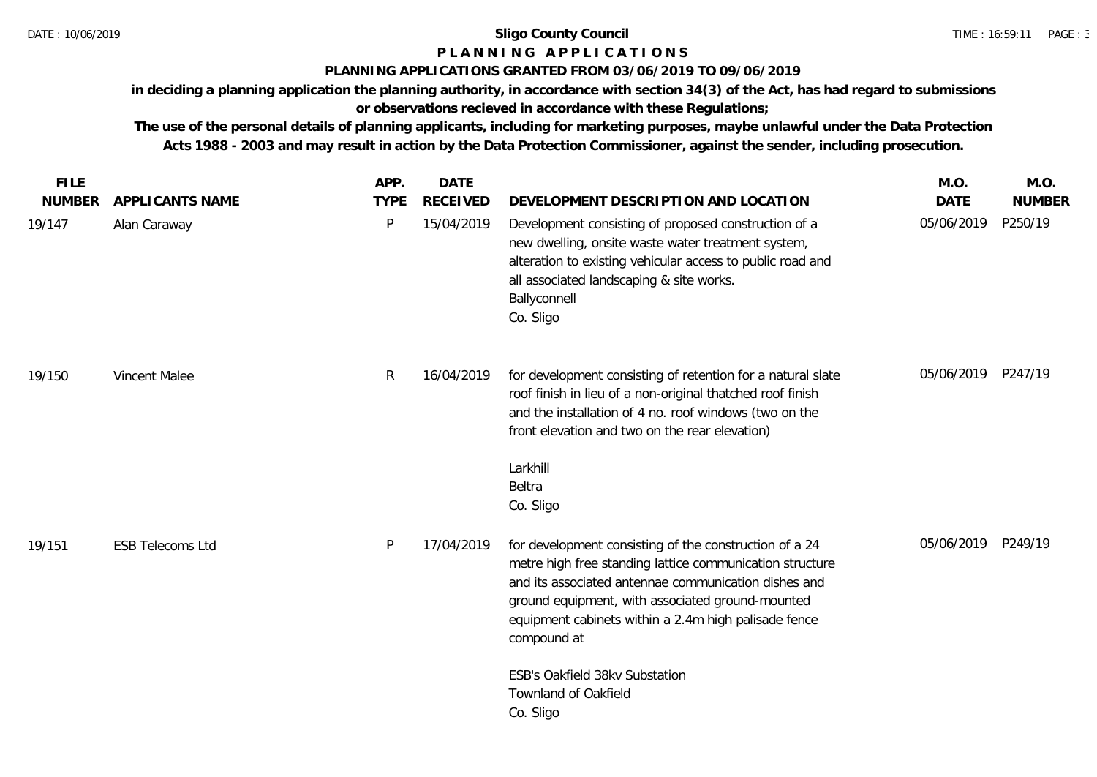# **P L A N N I N G A P P L I C A T I O N S**

# **PLANNING APPLICATIONS GRANTED FROM 03/06/2019 TO 09/06/2019**

**in deciding a planning application the planning authority, in accordance with section 34(3) of the Act, has had regard to submissions or observations recieved in accordance with these Regulations;**

| <b>FILE</b>   |                         | APP.         | <b>DATE</b>     |                                                                                                                                                                                                                                                                                                       | M.O.        | M.O.          |
|---------------|-------------------------|--------------|-----------------|-------------------------------------------------------------------------------------------------------------------------------------------------------------------------------------------------------------------------------------------------------------------------------------------------------|-------------|---------------|
| <b>NUMBER</b> | APPLICANTS NAME         | <b>TYPE</b>  | <b>RECEIVED</b> | DEVELOPMENT DESCRIPTION AND LOCATION                                                                                                                                                                                                                                                                  | <b>DATE</b> | <b>NUMBER</b> |
| 19/147        | Alan Caraway            | P            | 15/04/2019      | Development consisting of proposed construction of a<br>new dwelling, onsite waste water treatment system,<br>alteration to existing vehicular access to public road and<br>all associated landscaping & site works.<br>Ballyconnell<br>Co. Sligo                                                     | 05/06/2019  | P250/19       |
| 19/150        | Vincent Malee           | $\mathsf{R}$ | 16/04/2019      | for development consisting of retention for a natural slate<br>roof finish in lieu of a non-original thatched roof finish<br>and the installation of 4 no. roof windows (two on the<br>front elevation and two on the rear elevation)<br>Larkhill<br>Beltra<br>Co. Sligo                              | 05/06/2019  | P247/19       |
| 19/151        | <b>ESB Telecoms Ltd</b> | P            | 17/04/2019      | for development consisting of the construction of a 24<br>metre high free standing lattice communication structure<br>and its associated antennae communication dishes and<br>ground equipment, with associated ground-mounted<br>equipment cabinets within a 2.4m high palisade fence<br>compound at | 05/06/2019  | P249/19       |
|               |                         |              |                 | ESB's Oakfield 38kv Substation<br>Townland of Oakfield<br>Co. Sligo                                                                                                                                                                                                                                   |             |               |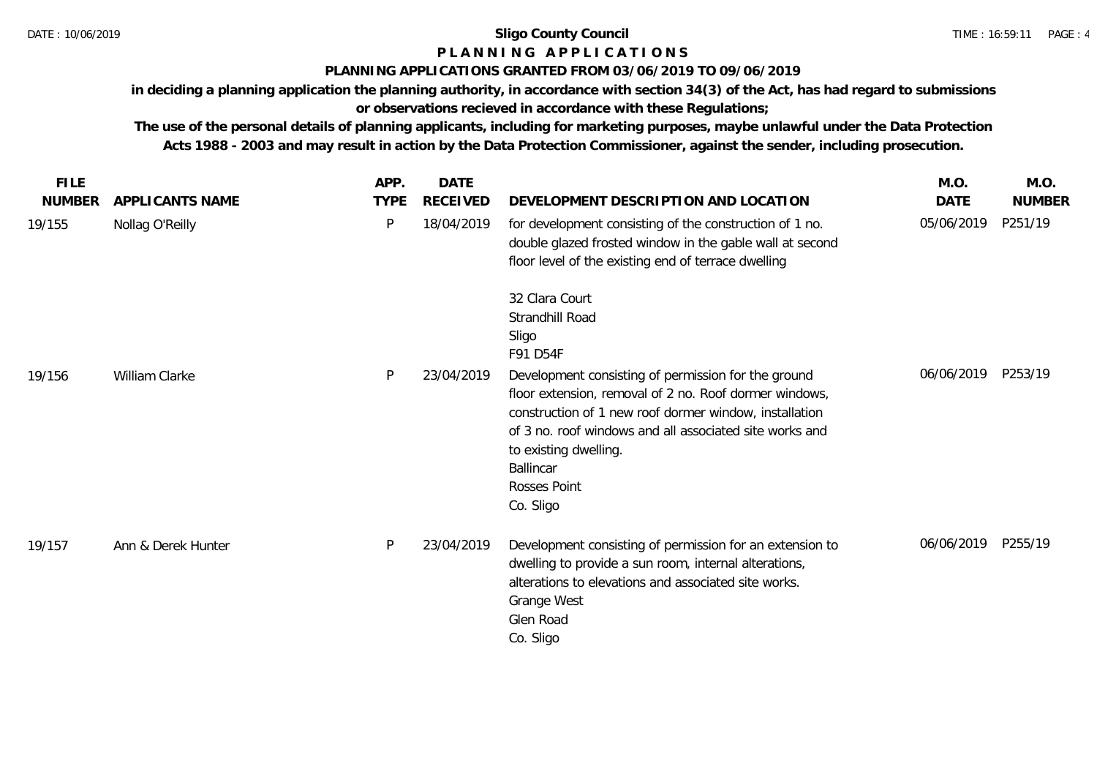# **P L A N N I N G A P P L I C A T I O N S**

## **PLANNING APPLICATIONS GRANTED FROM 03/06/2019 TO 09/06/2019**

**in deciding a planning application the planning authority, in accordance with section 34(3) of the Act, has had regard to submissions** 

**or observations recieved in accordance with these Regulations;**

| <b>FILE</b>   |                    | APP.        | <b>DATE</b> |                                                                                                                                                                                                                                                                                                                     | M.O.        | M.O.          |
|---------------|--------------------|-------------|-------------|---------------------------------------------------------------------------------------------------------------------------------------------------------------------------------------------------------------------------------------------------------------------------------------------------------------------|-------------|---------------|
| <b>NUMBER</b> | APPLICANTS NAME    | <b>TYPE</b> | RECEIVED    | DEVELOPMENT DESCRIPTION AND LOCATION                                                                                                                                                                                                                                                                                | <b>DATE</b> | <b>NUMBER</b> |
| 19/155        | Nollag O'Reilly    | P           | 18/04/2019  | for development consisting of the construction of 1 no.<br>double glazed frosted window in the gable wall at second<br>floor level of the existing end of terrace dwelling                                                                                                                                          | 05/06/2019  | P251/19       |
|               |                    |             |             | 32 Clara Court<br>Strandhill Road<br>Sligo<br>F91 D54F                                                                                                                                                                                                                                                              |             |               |
| 19/156        | William Clarke     | P           | 23/04/2019  | Development consisting of permission for the ground<br>floor extension, removal of 2 no. Roof dormer windows,<br>construction of 1 new roof dormer window, installation<br>of 3 no. roof windows and all associated site works and<br>to existing dwelling.<br><b>Ballincar</b><br><b>Rosses Point</b><br>Co. Sligo | 06/06/2019  | P253/19       |
| 19/157        | Ann & Derek Hunter | P           | 23/04/2019  | Development consisting of permission for an extension to<br>dwelling to provide a sun room, internal alterations,<br>alterations to elevations and associated site works.<br>Grange West<br>Glen Road<br>Co. Sligo                                                                                                  | 06/06/2019  | P255/19       |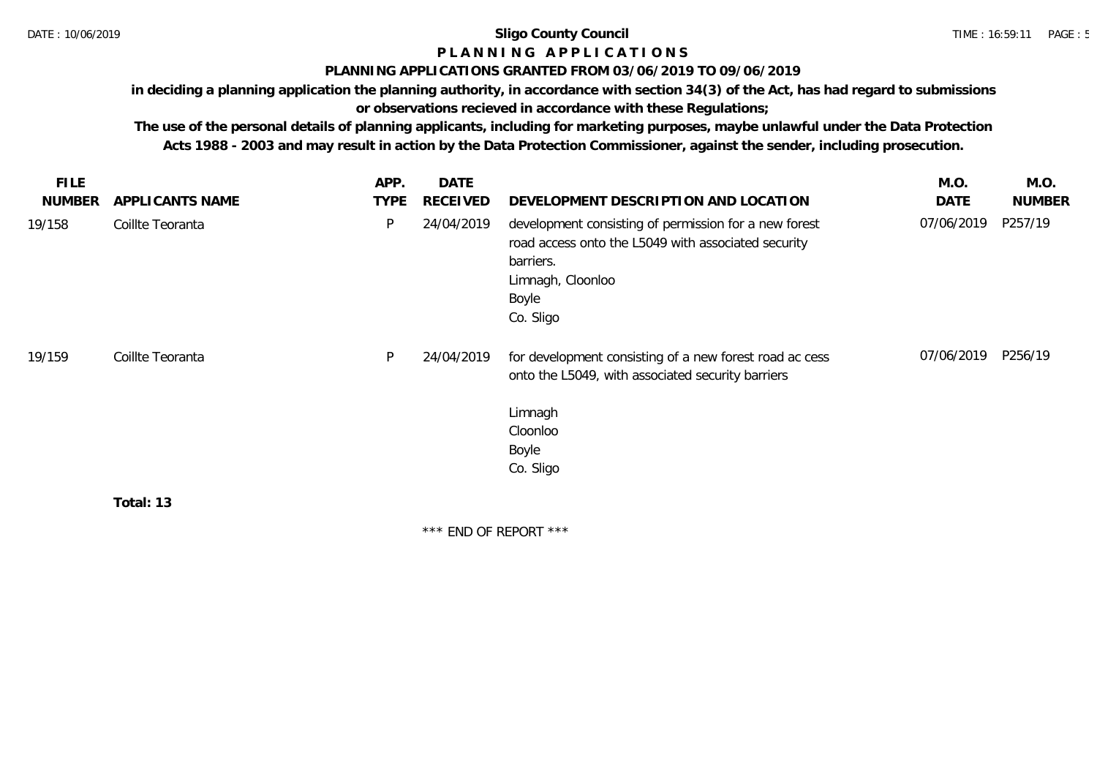# **P L A N N I N G A P P L I C A T I O N S**

## **PLANNING APPLICATIONS GRANTED FROM 03/06/2019 TO 09/06/2019**

**in deciding a planning application the planning authority, in accordance with section 34(3) of the Act, has had regard to submissions** 

**or observations recieved in accordance with these Regulations;**

**The use of the personal details of planning applicants, including for marketing purposes, maybe unlawful under the Data Protection Acts 1988 - 2003 and may result in action by the Data Protection Commissioner, against the sender, including prosecution.**

| <b>FILE</b>   |                  | APP.        | <b>DATE</b> |                                                                                                                                                                      | M.O.       | M.O.          |
|---------------|------------------|-------------|-------------|----------------------------------------------------------------------------------------------------------------------------------------------------------------------|------------|---------------|
| <b>NUMBER</b> | APPLICANTS NAME  | <b>TYPE</b> | RECEIVED    | DEVELOPMENT DESCRIPTION AND LOCATION                                                                                                                                 | DATE       | <b>NUMBER</b> |
| 19/158        | Coillte Teoranta | P           | 24/04/2019  | development consisting of permission for a new forest<br>road access onto the L5049 with associated security<br>barriers.<br>Limnagh, Cloonloo<br>Boyle<br>Co. Sligo | 07/06/2019 | P257/19       |
| 19/159        | Coillte Teoranta | P           | 24/04/2019  | for development consisting of a new forest road ac cess<br>onto the L5049, with associated security barriers<br>Limnagh                                              | 07/06/2019 | P256/19       |
|               |                  |             |             | Cloonloo                                                                                                                                                             |            |               |
|               |                  |             |             | Boyle                                                                                                                                                                |            |               |
|               |                  |             |             | Co. Sligo                                                                                                                                                            |            |               |
|               | Total: 13        |             |             |                                                                                                                                                                      |            |               |

\*\*\* END OF REPORT \*\*\*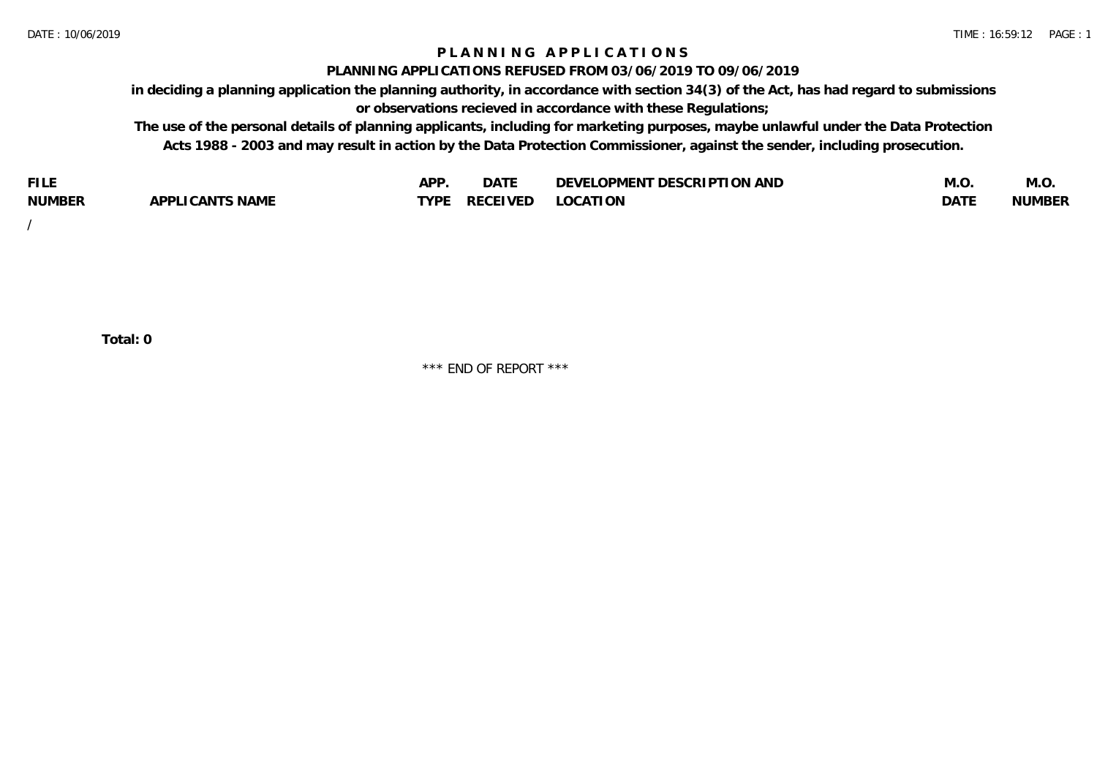## **P L A N N I N G A P P L I C A T I O N S**

## **PLANNING APPLICATIONS REFUSED FROM 03/06/2019 TO 09/06/2019**

**in deciding a planning application the planning authority, in accordance with section 34(3) of the Act, has had regard to submissions or observations recieved in accordance with these Regulations;**

**The use of the personal details of planning applicants, including for marketing purposes, maybe unlawful under the Data Protection Acts 1988 - 2003 and may result in action by the Data Protection Commissioner, against the sender, including prosecution.**

| <b>FILE</b>   |                       | <b>ADD</b><br>¬ เ⊥ | $\Gamma$ $\Lambda$ $\Gamma$<br>DAI | OPMENT DESCRIPTION AND<br>$\sim$ $\sim$<br>)FVF' | IVI.U            | M.O           |
|---------------|-----------------------|--------------------|------------------------------------|--------------------------------------------------|------------------|---------------|
| <b>NUMBER</b> | LI CANTS NAME<br>APP' | <b>TYPF</b>        | <b>RECEIVED</b>                    | <b>LOCATION</b>                                  | DAT <sup>®</sup> | <b>NUMBEF</b> |

/

**Total: 0**

\*\*\* END OF REPORT \*\*\*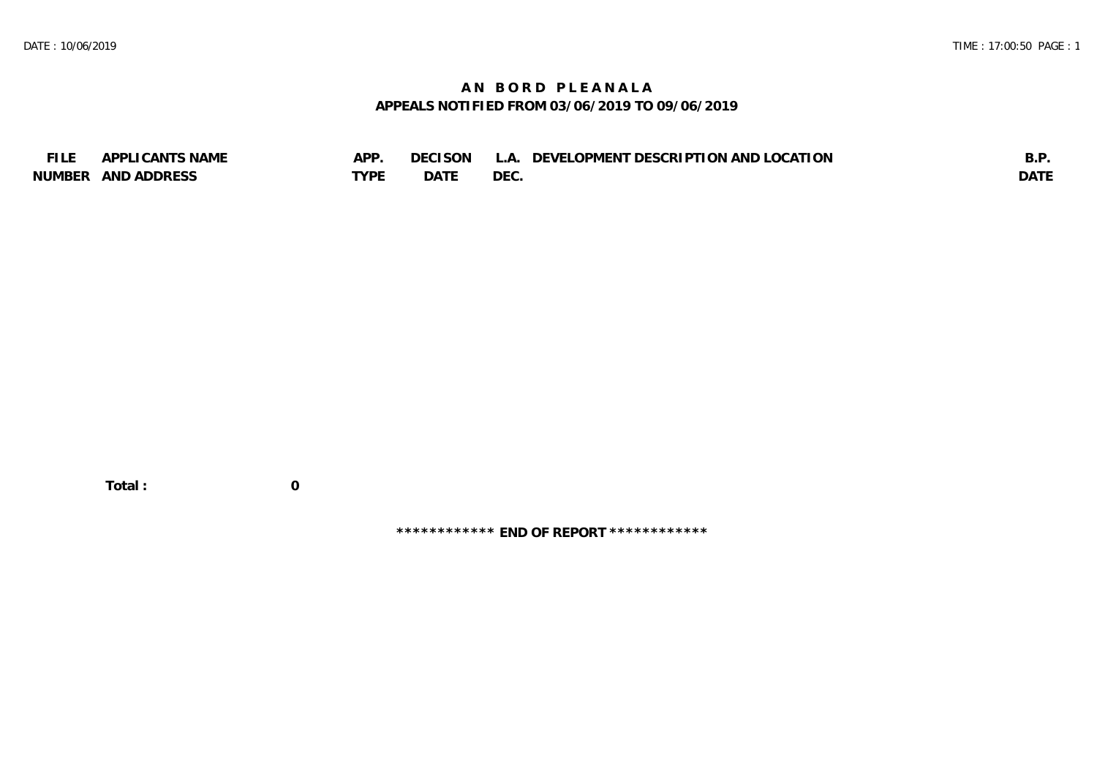# **A N B O R D P L E A N A L A APPEALS NOTIFIED FROM 03/06/2019 TO 09/06/2019**

| <b>FILE</b> | APPLICANTS NAME    | APP  | DECISON L | L.A. DEVELOPMENT DESCRIPTION AND LOCATION | B.F         |
|-------------|--------------------|------|-----------|-------------------------------------------|-------------|
|             | NUMBER AND ADDRESS | TYPE | DATE      | <b>DEC</b>                                | <b>DATE</b> |

 **Total : 0**

**\*\*\*\*\*\*\*\*\*\*\*\* END OF REPORT \*\*\*\*\*\*\*\*\*\*\*\***